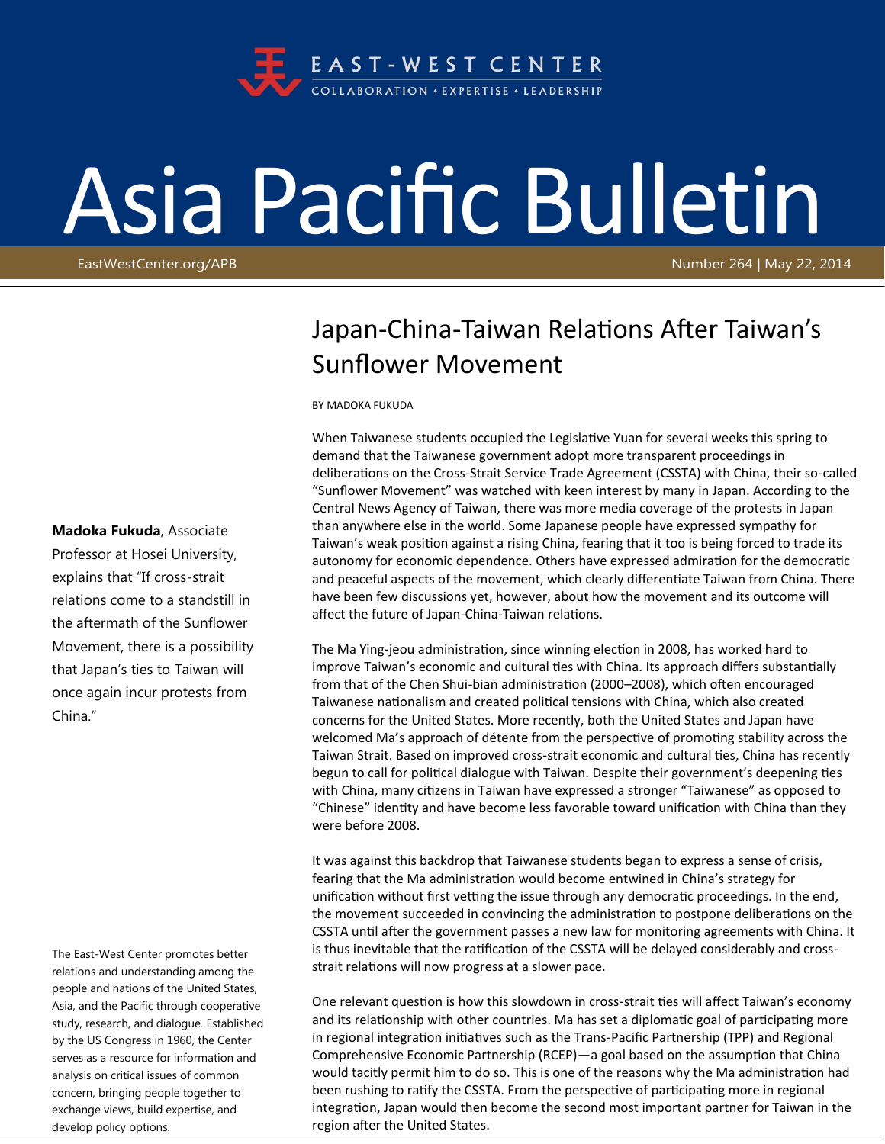

## Asia Pacific Bulletin

EastWestCenter.org/APB Number 264 | May 22, 2014

## Japan-China-Taiwan Relations After Taiwan's Sunflower Movement

BY MADOKA FUKUDA

When Taiwanese students occupied the Legislative Yuan for several weeks this spring to demand that the Taiwanese government adopt more transparent proceedings in deliberations on the Cross-Strait Service Trade Agreement (CSSTA) with China, their so-called "Sunflower Movement" was watched with keen interest by many in Japan. According to the Central News Agency of Taiwan, there was more media coverage of the protests in Japan than anywhere else in the world. Some Japanese people have expressed sympathy for Taiwan's weak position against a rising China, fearing that it too is being forced to trade its autonomy for economic dependence. Others have expressed admiration for the democratic and peaceful aspects of the movement, which clearly differentiate Taiwan from China. There have been few discussions yet, however, about how the movement and its outcome will affect the future of Japan-China-Taiwan relations.

The Ma Ying-jeou administration, since winning election in 2008, has worked hard to improve Taiwan's economic and cultural ties with China. Its approach differs substantially from that of the Chen Shui-bian administration (2000–2008), which often encouraged Taiwanese nationalism and created political tensions with China, which also created concerns for the United States. More recently, both the United States and Japan have welcomed Ma's approach of détente from the perspective of promoting stability across the Taiwan Strait. Based on improved cross-strait economic and cultural ties, China has recently begun to call for political dialogue with Taiwan. Despite their government's deepening ties with China, many citizens in Taiwan have expressed a stronger "Taiwanese" as opposed to "Chinese" identity and have become less favorable toward unification with China than they were before 2008.

It was against this backdrop that Taiwanese students began to express a sense of crisis, fearing that the Ma administration would become entwined in China's strategy for unification without first vetting the issue through any democratic proceedings. In the end, the movement succeeded in convincing the administration to postpone deliberations on the CSSTA until after the government passes a new law for monitoring agreements with China. It is thus inevitable that the ratification of the CSSTA will be delayed considerably and crossstrait relations will now progress at a slower pace.

One relevant question is how this slowdown in cross-strait ties will affect Taiwan's economy and its relationship with other countries. Ma has set a diplomatic goal of participating more in regional integration initiatives such as the Trans-Pacific Partnership (TPP) and Regional Comprehensive Economic Partnership (RCEP)—a goal based on the assumption that China would tacitly permit him to do so. This is one of the reasons why the Ma administration had been rushing to ratify the CSSTA. From the perspective of participating more in regional integration, Japan would then become the second most important partner for Taiwan in the region after the United States.

## **Madoka Fukuda**, Associate

Professor at Hosei University, explains that "If cross-strait relations come to a standstill in the aftermath of the Sunflower Movement, there is a possibility that Japan's ties to Taiwan will once again incur protests from China."

The East-West Center promotes better relations and understanding among the people and nations of the United States, Asia, and the Pacific through cooperative study, research, and dialogue. Established by the US Congress in 1960, the Center serves as a resource for information and analysis on critical issues of common concern, bringing people together to exchange views, build expertise, and develop policy options.